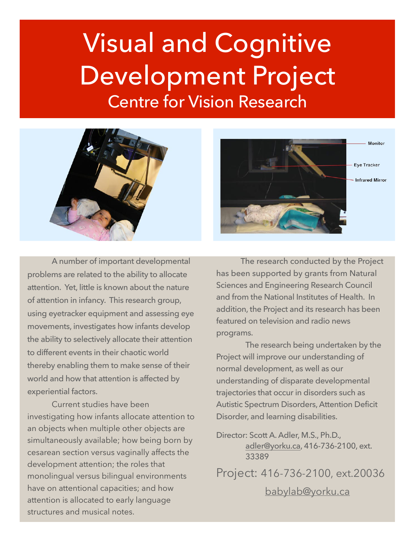# Visual and Cognitive Development Project Centre for Vision Research



 A number of important developmental problems are related to the ability to allocate attention. Yet, little is known about the nature of attention in infancy. This research group, using eyetracker equipment and assessing eye movements, investigates how infants develop the ability to selectively allocate their attention to different events in their chaotic world thereby enabling them to make sense of their world and how that attention is affected by experiential factors.

Current studies have been investigating how infants allocate attention to an objects when multiple other objects are simultaneously available; how being born by cesarean section versus vaginally affects the development attention; the roles that monolingual versus bilingual environments have on attentional capacities; and how attention is allocated to early language structures and musical notes.



The research conducted by the Project has been supported by grants from Natural Sciences and Engineering Research Council and from the National Institutes of Health. In addition, the Project and its research has been featured on television and radio news programs.

 The research being undertaken by the Project will improve our understanding of normal development, as well as our understanding of disparate developmental trajectories that occur in disorders such as Autistic Spectrum Disorders, Attention Deficit Disorder, and learning disabilities.

Director: Scott A. Adler, M.S., Ph.D., [adler@yorku.ca](mailto:adler@yorku.ca), 416-736-2100, ext. 33389

Project: 416-736-2100, ext.20036 [babylab@yorku.ca](mailto:babylab@yorku.ca)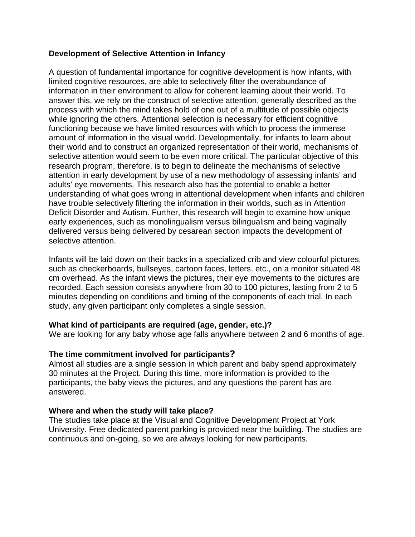## **Development of Selective Attention in Infancy**

A question of fundamental importance for cognitive development is how infants, with limited cognitive resources, are able to selectively filter the overabundance of information in their environment to allow for coherent learning about their world. To answer this, we rely on the construct of selective attention, generally described as the process with which the mind takes hold of one out of a multitude of possible objects while ignoring the others. Attentional selection is necessary for efficient cognitive functioning because we have limited resources with which to process the immense amount of information in the visual world. Developmentally, for infants to learn about their world and to construct an organized representation of their world, mechanisms of selective attention would seem to be even more critical. The particular objective of this research program, therefore, is to begin to delineate the mechanisms of selective attention in early development by use of a new methodology of assessing infants' and adults' eye movements. This research also has the potential to enable a better understanding of what goes wrong in attentional development when infants and children have trouble selectively filtering the information in their worlds, such as in Attention Deficit Disorder and Autism. Further, this research will begin to examine how unique early experiences, such as monolingualism versus bilingualism and being vaginally delivered versus being delivered by cesarean section impacts the development of selective attention.

Infants will be laid down on their backs in a specialized crib and view colourful pictures, such as checkerboards, bullseyes, cartoon faces, letters, etc., on a monitor situated 48 cm overhead. As the infant views the pictures, their eye movements to the pictures are recorded. Each session consists anywhere from 30 to 100 pictures, lasting from 2 to 5 minutes depending on conditions and timing of the components of each trial. In each study, any given participant only completes a single session.

## **What kind of participants are required (age, gender, etc.)?**

We are looking for any baby whose age falls anywhere between 2 and 6 months of age.

## **The time commitment involved for participants?**

Almost all studies are a single session in which parent and baby spend approximately 30 minutes at the Project. During this time, more information is provided to the participants, the baby views the pictures, and any questions the parent has are answered.

## **Where and when the study will take place?**

The studies take place at the Visual and Cognitive Development Project at York University. Free dedicated parent parking is provided near the building. The studies are continuous and on-going, so we are always looking for new participants.